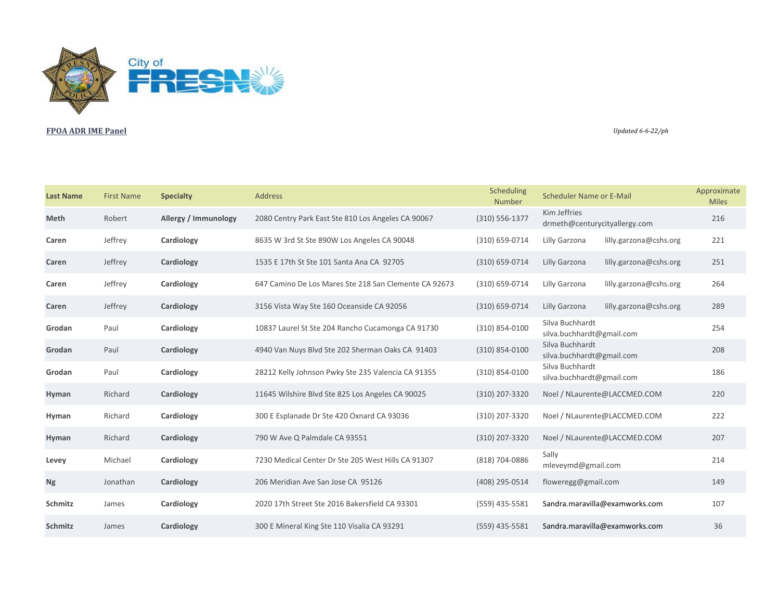

## **FPOA ADR IME Panel** *Updated 6-6-22/ph*

| <b>Last Name</b> | <b>First Name</b> | <b>Specialty</b>            | <b>Address</b>                                        | Scheduling<br>Number | <b>Scheduler Name or E-Mail</b>               | Approximate<br><b>Miles</b> |
|------------------|-------------------|-----------------------------|-------------------------------------------------------|----------------------|-----------------------------------------------|-----------------------------|
| <b>Meth</b>      | Robert            | <b>Allergy / Immunology</b> | 2080 Centry Park East Ste 810 Los Angeles CA 90067    | $(310) 556 - 1377$   | Kim Jeffries<br>drmeth@centurycityallergy.com | 216                         |
| Caren            | Jeffrey           | Cardiology                  | 8635 W 3rd St Ste 890W Los Angeles CA 90048           | (310) 659-0714       | Lilly Garzona<br>lilly.garzona@cshs.org       | 221                         |
| Caren            | Jeffrey           | Cardiology                  | 1535 E 17th St Ste 101 Santa Ana CA 92705             | (310) 659-0714       | Lilly Garzona<br>lilly.garzona@cshs.org       | 251                         |
| Caren            | Jeffrey           | Cardiology                  | 647 Camino De Los Mares Ste 218 San Clemente CA 92673 | (310) 659-0714       | Lilly Garzona<br>lilly.garzona@cshs.org       | 264                         |
| Caren            | Jeffrey           | Cardiology                  | 3156 Vista Way Ste 160 Oceanside CA 92056             | (310) 659-0714       | lilly.garzona@cshs.org<br>Lilly Garzona       | 289                         |
| Grodan           | Paul              | Cardiology                  | 10837 Laurel St Ste 204 Rancho Cucamonga CA 91730     | (310) 854-0100       | Silva Buchhardt<br>silva.buchhardt@gmail.com  | 254                         |
| Grodan           | Paul              | Cardiology                  | 4940 Van Nuys Blvd Ste 202 Sherman Oaks CA 91403      | $(310) 854 - 0100$   | Silva Buchhardt<br>silva.buchhardt@gmail.com  | 208                         |
| Grodan           | Paul              | Cardiology                  | 28212 Kelly Johnson Pwky Ste 235 Valencia CA 91355    | $(310) 854 - 0100$   | Silva Buchhardt<br>silva.buchhardt@gmail.com  | 186                         |
| Hyman            | Richard           | Cardiology                  | 11645 Wilshire Blvd Ste 825 Los Angeles CA 90025      | (310) 207-3320       | Noel / NLaurente@LACCMED.COM                  | 220                         |
| Hyman            | Richard           | Cardiology                  | 300 E Esplanade Dr Ste 420 Oxnard CA 93036            | (310) 207-3320       | Noel / NLaurente@LACCMED.COM                  | 222                         |
| Hyman            | Richard           | Cardiology                  | 790 W Ave Q Palmdale CA 93551                         | (310) 207-3320       | Noel / NLaurente@LACCMED.COM                  | 207                         |
| Levey            | Michael           | Cardiology                  | 7230 Medical Center Dr Ste 205 West Hills CA 91307    | (818) 704-0886       | Sally<br>mleveymd@gmail.com                   | 214                         |
| <b>Ng</b>        | Jonathan          | Cardiology                  | 206 Meridian Ave San Jose CA 95126                    | (408) 295-0514       | floweregg@gmail.com                           | 149                         |
| <b>Schmitz</b>   | James             | Cardiology                  | 2020 17th Street Ste 2016 Bakersfield CA 93301        | (559) 435-5581       | Sandra.maravilla@examworks.com                | 107                         |
| <b>Schmitz</b>   | James             | Cardiology                  | 300 E Mineral King Ste 110 Visalia CA 93291           | $(559)$ 435-5581     | Sandra.maravilla@examworks.com                | 36                          |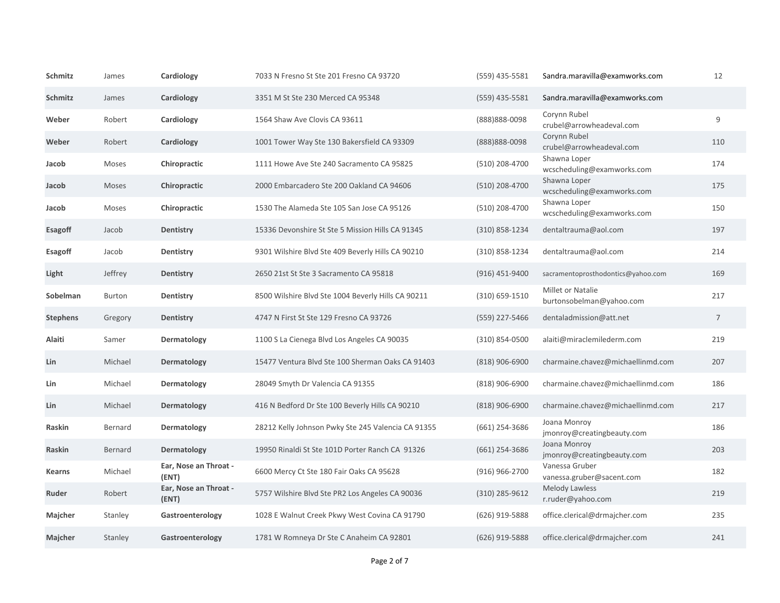| <b>Schmitz</b>  | James         | Cardiology                     | 7033 N Fresno St Ste 201 Fresno CA 93720           | $(559)$ 435-5581   | Sandra.maravilla@examworks.com                       | 12             |
|-----------------|---------------|--------------------------------|----------------------------------------------------|--------------------|------------------------------------------------------|----------------|
| Schmitz         | James         | <b>Cardiology</b>              | 3351 M St Ste 230 Merced CA 95348                  | $(559)$ 435-5581   | Sandra.maravilla@examworks.com                       |                |
| Weber           | Robert        | Cardiology                     | 1564 Shaw Ave Clovis CA 93611                      | (888) 888-0098     | Corynn Rubel<br>crubel@arrowheadeval.com             | 9              |
| Weber           | Robert        | <b>Cardiology</b>              | 1001 Tower Way Ste 130 Bakersfield CA 93309        | (888) 888-0098     | Corynn Rubel<br>crubel@arrowheadeval.com             | 110            |
| Jacob           | <b>Moses</b>  | Chiropractic                   | 1111 Howe Ave Ste 240 Sacramento CA 95825          | (510) 208-4700     | Shawna Loper<br>wcscheduling@examworks.com           | 174            |
| Jacob           | <b>Moses</b>  | Chiropractic                   | 2000 Embarcadero Ste 200 Oakland CA 94606          | (510) 208-4700     | Shawna Loper<br>wcscheduling@examworks.com           | 175            |
| Jacob           | Moses         | Chiropractic                   | 1530 The Alameda Ste 105 San Jose CA 95126         | $(510)$ 208-4700   | Shawna Loper<br>wcscheduling@examworks.com           | 150            |
| <b>Esagoff</b>  | Jacob         | <b>Dentistry</b>               | 15336 Devonshire St Ste 5 Mission Hills CA 91345   | $(310)$ 858-1234   | dentaltrauma@aol.com                                 | 197            |
| <b>Esagoff</b>  | Jacob         | <b>Dentistry</b>               | 9301 Wilshire Blvd Ste 409 Beverly Hills CA 90210  | $(310) 858 - 1234$ | dentaltrauma@aol.com                                 | 214            |
| Light           | Jeffrey       | <b>Dentistry</b>               | 2650 21st St Ste 3 Sacramento CA 95818             | $(916)$ 451-9400   | sacramentoprosthodontics@yahoo.com                   | 169            |
| Sobelman        | <b>Burton</b> | <b>Dentistry</b>               | 8500 Wilshire Blvd Ste 1004 Beverly Hills CA 90211 | $(310) 659 - 1510$ | <b>Millet or Natalie</b><br>burtonsobelman@yahoo.com | 217            |
| <b>Stephens</b> | Gregory       | <b>Dentistry</b>               | 4747 N First St Ste 129 Fresno CA 93726            | (559) 227-5466     | dentaladmission@att.net                              | $\overline{7}$ |
| <b>Alaiti</b>   | Samer         | Dermatology                    | 1100 S La Cienega Blvd Los Angeles CA 90035        | $(310)$ 854-0500   | alaiti@miraclemilederm.com                           | 219            |
| Lin             | Michael       | <b>Dermatology</b>             | 15477 Ventura Blvd Ste 100 Sherman Oaks CA 91403   | $(818)$ 906-6900   | charmaine.chavez@michaellinmd.com                    | 207            |
| Lin             | Michael       | <b>Dermatology</b>             | 28049 Smyth Dr Valencia CA 91355                   | $(818)$ 906-6900   | charmaine.chavez@michaellinmd.com                    | 186            |
| Lin             | Michael       | Dermatology                    | 416 N Bedford Dr Ste 100 Beverly Hills CA 90210    | $(818)$ 906-6900   | charmaine.chavez@michaellinmd.com                    | 217            |
| Raskin          | Bernard       | Dermatology                    | 28212 Kelly Johnson Pwky Ste 245 Valencia CA 91355 | $(661)$ 254-3686   | Joana Monroy<br>jmonroy@creatingbeauty.com           | 186            |
| <b>Raskin</b>   | Bernard       | <b>Dermatology</b>             | 19950 Rinaldi St Ste 101D Porter Ranch CA 91326    | $(661)$ 254-3686   | Joana Monroy<br>jmonroy@creatingbeauty.com           | 203            |
| <b>Kearns</b>   | Michael       | Ear, Nose an Throat -<br>(ENT) | 6600 Mercy Ct Ste 180 Fair Oaks CA 95628           | (916) 966-2700     | Vanessa Gruber<br>vanessa.gruber@sacent.com          | 182            |
| Ruder           | Robert        | Ear, Nose an Throat -<br>(ENT) | 5757 Wilshire Blvd Ste PR2 Los Angeles CA 90036    | $(310)$ 285-9612   | Melody Lawless<br>r.ruder@yahoo.com                  | 219            |
| <b>Majcher</b>  | Stanley       | Gastroenterology               | 1028 E Walnut Creek Pkwy West Covina CA 91790      | (626) 919-5888     | office.clerical@drmajcher.com                        | 235            |
| <b>Majcher</b>  | Stanley       | Gastroenterology               | 1781 W Romneya Dr Ste C Anaheim CA 92801           | (626) 919-5888     | office.clerical@drmajcher.com                        | 241            |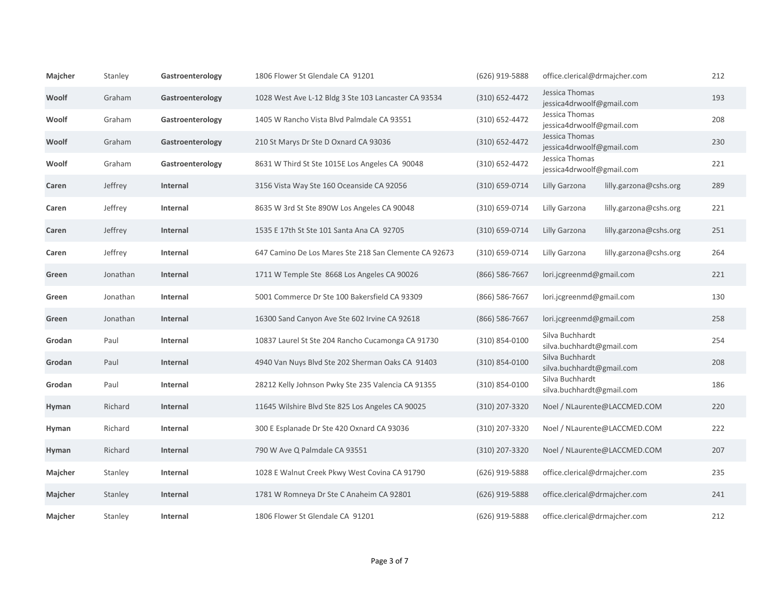| Majcher        | Stanley  | Gastroenterology | 1806 Flower St Glendale CA 91201                      | (626) 919-5888     | office.clerical@drmajcher.com                | 212 |
|----------------|----------|------------------|-------------------------------------------------------|--------------------|----------------------------------------------|-----|
| Woolf          | Graham   | Gastroenterology | 1028 West Ave L-12 Bldg 3 Ste 103 Lancaster CA 93534  | $(310) 652 - 4472$ | Jessica Thomas<br>jessica4drwoolf@gmail.com  | 193 |
| Woolf          | Graham   | Gastroenterology | 1405 W Rancho Vista Blvd Palmdale CA 93551            | $(310) 652 - 4472$ | Jessica Thomas<br>jessica4drwoolf@gmail.com  | 208 |
| Woolf          | Graham   | Gastroenterology | 210 St Marys Dr Ste D Oxnard CA 93036                 | (310) 652-4472     | Jessica Thomas<br>jessica4drwoolf@gmail.com  | 230 |
| Woolf          | Graham   | Gastroenterology | 8631 W Third St Ste 1015E Los Angeles CA 90048        | $(310) 652 - 4472$ | Jessica Thomas<br>jessica4drwoolf@gmail.com  | 221 |
| Caren          | Jeffrey  | Internal         | 3156 Vista Way Ste 160 Oceanside CA 92056             | (310) 659-0714     | Lilly Garzona<br>lilly.garzona@cshs.org      | 289 |
| Caren          | Jeffrey  | Internal         | 8635 W 3rd St Ste 890W Los Angeles CA 90048           | (310) 659-0714     | lilly.garzona@cshs.org<br>Lilly Garzona      | 221 |
| Caren          | Jeffrey  | <b>Internal</b>  | 1535 E 17th St Ste 101 Santa Ana CA 92705             | (310) 659-0714     | lilly.garzona@cshs.org<br>Lilly Garzona      | 251 |
| Caren          | Jeffrey  | Internal         | 647 Camino De Los Mares Ste 218 San Clemente CA 92673 | (310) 659-0714     | Lilly Garzona<br>lilly.garzona@cshs.org      | 264 |
| Green          | Jonathan | Internal         | 1711 W Temple Ste 8668 Los Angeles CA 90026           | (866) 586-7667     | lori.jcgreenmd@gmail.com                     | 221 |
| Green          | Jonathan | Internal         | 5001 Commerce Dr Ste 100 Bakersfield CA 93309         | (866) 586-7667     | lori.jcgreenmd@gmail.com                     | 130 |
| Green          | Jonathan | Internal         | 16300 Sand Canyon Ave Ste 602 Irvine CA 92618         | (866) 586-7667     | lori.jcgreenmd@gmail.com                     | 258 |
| Grodan         | Paul     | Internal         | 10837 Laurel St Ste 204 Rancho Cucamonga CA 91730     | (310) 854-0100     | Silva Buchhardt<br>silva.buchhardt@gmail.com | 254 |
| Grodan         | Paul     | Internal         | 4940 Van Nuys Blvd Ste 202 Sherman Oaks CA 91403      | $(310) 854 - 0100$ | Silva Buchhardt<br>silva.buchhardt@gmail.com | 208 |
| Grodan         | Paul     | Internal         | 28212 Kelly Johnson Pwky Ste 235 Valencia CA 91355    | (310) 854-0100     | Silva Buchhardt<br>silva.buchhardt@gmail.com | 186 |
| Hyman          | Richard  | <b>Internal</b>  | 11645 Wilshire Blvd Ste 825 Los Angeles CA 90025      | (310) 207-3320     | Noel / NLaurente@LACCMED.COM                 | 220 |
| Hyman          | Richard  | Internal         | 300 E Esplanade Dr Ste 420 Oxnard CA 93036            | (310) 207-3320     | Noel / NLaurente@LACCMED.COM                 | 222 |
| Hyman          | Richard  | Internal         | 790 W Ave Q Palmdale CA 93551                         | (310) 207-3320     | Noel / NLaurente@LACCMED.COM                 | 207 |
| <b>Majcher</b> | Stanley  | Internal         | 1028 E Walnut Creek Pkwy West Covina CA 91790         | (626) 919-5888     | office.clerical@drmajcher.com                | 235 |
| <b>Majcher</b> | Stanley  | Internal         | 1781 W Romneya Dr Ste C Anaheim CA 92801              | (626) 919-5888     | office.clerical@drmajcher.com                | 241 |
| Majcher        | Stanley  | Internal         | 1806 Flower St Glendale CA 91201                      | (626) 919-5888     | office.clerical@drmajcher.com                | 212 |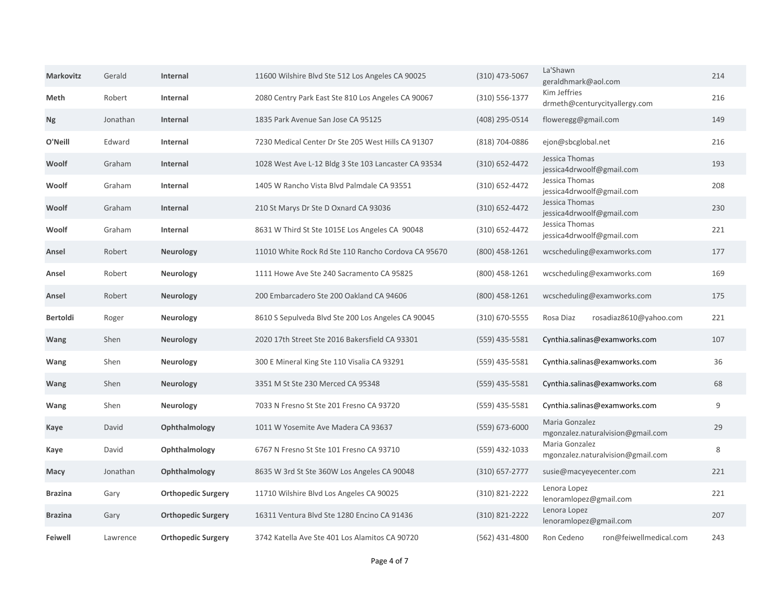| <b>Markovitz</b> | Gerald   | <b>Internal</b>           | 11600 Wilshire Blvd Ste 512 Los Angeles CA 90025     | $(310)$ 473-5067   | La'Shawn<br>geraldhmark@aol.com                     | 214 |
|------------------|----------|---------------------------|------------------------------------------------------|--------------------|-----------------------------------------------------|-----|
| <b>Meth</b>      | Robert   | Internal                  | 2080 Centry Park East Ste 810 Los Angeles CA 90067   | $(310) 556 - 1377$ | Kim Jeffries<br>drmeth@centurycityallergy.com       | 216 |
| <b>Ng</b>        | Jonathan | Internal                  | 1835 Park Avenue San Jose CA 95125                   | (408) 295-0514     | floweregg@gmail.com                                 | 149 |
| O'Neill          | Edward   | Internal                  | 7230 Medical Center Dr Ste 205 West Hills CA 91307   | (818) 704-0886     | ejon@sbcglobal.net                                  | 216 |
| Woolf            | Graham   | <b>Internal</b>           | 1028 West Ave L-12 Bldg 3 Ste 103 Lancaster CA 93534 | $(310) 652 - 4472$ | Jessica Thomas<br>jessica4drwoolf@gmail.com         | 193 |
| Woolf            | Graham   | Internal                  | 1405 W Rancho Vista Blvd Palmdale CA 93551           | $(310) 652 - 4472$ | Jessica Thomas<br>jessica4drwoolf@gmail.com         | 208 |
| Woolf            | Graham   | <b>Internal</b>           | 210 St Marys Dr Ste D Oxnard CA 93036                | $(310) 652 - 4472$ | Jessica Thomas<br>jessica4drwoolf@gmail.com         | 230 |
| Woolf            | Graham   | Internal                  | 8631 W Third St Ste 1015E Los Angeles CA 90048       | $(310) 652 - 4472$ | Jessica Thomas<br>jessica4drwoolf@gmail.com         | 221 |
| Ansel            | Robert   | <b>Neurology</b>          | 11010 White Rock Rd Ste 110 Rancho Cordova CA 95670  | $(800)$ 458-1261   | wcscheduling@examworks.com                          | 177 |
| Ansel            | Robert   | <b>Neurology</b>          | 1111 Howe Ave Ste 240 Sacramento CA 95825            | (800) 458-1261     | wcscheduling@examworks.com                          | 169 |
| Ansel            | Robert   | <b>Neurology</b>          | 200 Embarcadero Ste 200 Oakland CA 94606             | $(800)$ 458-1261   | wcscheduling@examworks.com                          | 175 |
| <b>Bertoldi</b>  | Roger    | <b>Neurology</b>          | 8610 S Sepulveda Blvd Ste 200 Los Angeles CA 90045   | $(310)$ 670-5555   | Rosa Diaz<br>rosadiaz8610@yahoo.com                 | 221 |
| <b>Wang</b>      | Shen     | <b>Neurology</b>          | 2020 17th Street Ste 2016 Bakersfield CA 93301       | (559) 435-5581     | Cynthia.salinas@examworks.com                       | 107 |
| <b>Wang</b>      | Shen     | <b>Neurology</b>          | 300 E Mineral King Ste 110 Visalia CA 93291          | $(559)$ 435-5581   | Cynthia.salinas@examworks.com                       | 36  |
| <b>Wang</b>      | Shen     | <b>Neurology</b>          | 3351 M St Ste 230 Merced CA 95348                    | (559) 435-5581     | Cynthia.salinas@examworks.com                       | 68  |
| Wang             | Shen     | <b>Neurology</b>          | 7033 N Fresno St Ste 201 Fresno CA 93720             | (559) 435-5581     | Cynthia.salinas@examworks.com                       | 9   |
| Kaye             | David    | Ophthalmology             | 1011 W Yosemite Ave Madera CA 93637                  | (559) 673-6000     | Maria Gonzalez<br>mgonzalez.naturalvision@gmail.com | 29  |
| Kaye             | David    | Ophthalmology             | 6767 N Fresno St Ste 101 Fresno CA 93710             | (559) 432-1033     | Maria Gonzalez<br>mgonzalez.naturalvision@gmail.com | 8   |
| <b>Macy</b>      | Jonathan | Ophthalmology             | 8635 W 3rd St Ste 360W Los Angeles CA 90048          | $(310)$ 657-2777   | susie@macyeyecenter.com                             | 221 |
| <b>Brazina</b>   | Gary     | <b>Orthopedic Surgery</b> | 11710 Wilshire Blvd Los Angeles CA 90025             | (310) 821-2222     | Lenora Lopez<br>lenoramlopez@gmail.com              | 221 |
| <b>Brazina</b>   | Gary     | <b>Orthopedic Surgery</b> | 16311 Ventura Blvd Ste 1280 Encino CA 91436          | $(310) 821 - 2222$ | Lenora Lopez<br>lenoramlopez@gmail.com              | 207 |
| <b>Feiwell</b>   | Lawrence | <b>Orthopedic Surgery</b> | 3742 Katella Ave Ste 401 Los Alamitos CA 90720       | $(562)$ 431-4800   | ron@feiwellmedical.com<br>Ron Cedeno                | 243 |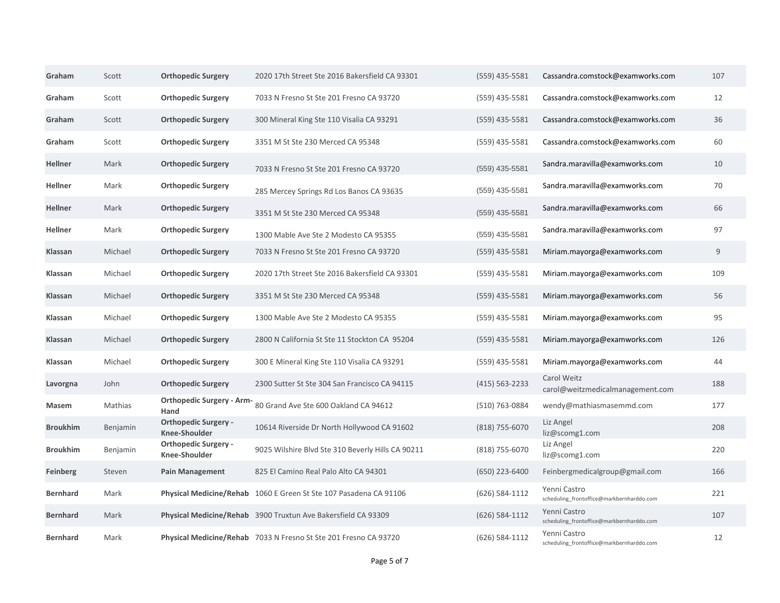| Graham          | Scott    | <b>Orthopedic Surgery</b>                           | 2020 17th Street Ste 2016 Bakersfield CA 93301                    | $(559)$ 435-5581   | Cassandra.comstock@examworks.com                          | 107 |
|-----------------|----------|-----------------------------------------------------|-------------------------------------------------------------------|--------------------|-----------------------------------------------------------|-----|
| Graham          | Scott    | <b>Orthopedic Surgery</b>                           | 7033 N Fresno St Ste 201 Fresno CA 93720                          | $(559)$ 435-5581   | Cassandra.comstock@examworks.com                          | 12  |
| Graham          | Scott    | <b>Orthopedic Surgery</b>                           | 300 Mineral King Ste 110 Visalia CA 93291                         | $(559)$ 435-5581   | Cassandra.comstock@examworks.com                          | 36  |
| Graham          | Scott    | <b>Orthopedic Surgery</b>                           | 3351 M St Ste 230 Merced CA 95348                                 | $(559)$ 435-5581   | Cassandra.comstock@examworks.com                          | 60  |
| <b>Hellner</b>  | Mark     | <b>Orthopedic Surgery</b>                           | 7033 N Fresno St Ste 201 Fresno CA 93720                          | (559) 435-5581     | Sandra.maravilla@examworks.com                            | 10  |
| <b>Hellner</b>  | Mark     | <b>Orthopedic Surgery</b>                           | 285 Mercey Springs Rd Los Banos CA 93635                          | (559) 435-5581     | Sandra.maravilla@examworks.com                            | 70  |
| <b>Hellner</b>  | Mark     | <b>Orthopedic Surgery</b>                           | 3351 M St Ste 230 Merced CA 95348                                 | (559) 435-5581     | Sandra.maravilla@examworks.com                            | 66  |
| <b>Hellner</b>  | Mark     | <b>Orthopedic Surgery</b>                           | 1300 Mable Ave Ste 2 Modesto CA 95355                             | (559) 435-5581     | Sandra.maravilla@examworks.com                            | 97  |
| <b>Klassan</b>  | Michael  | <b>Orthopedic Surgery</b>                           | 7033 N Fresno St Ste 201 Fresno CA 93720                          | $(559)$ 435-5581   | Miriam.mayorga@examworks.com                              | 9   |
| <b>Klassan</b>  | Michael  | <b>Orthopedic Surgery</b>                           | 2020 17th Street Ste 2016 Bakersfield CA 93301                    | $(559)$ 435-5581   | Miriam.mayorga@examworks.com                              | 109 |
| <b>Klassan</b>  | Michael  | <b>Orthopedic Surgery</b>                           | 3351 M St Ste 230 Merced CA 95348                                 | $(559)$ 435-5581   | Miriam.mayorga@examworks.com                              | 56  |
| <b>Klassan</b>  | Michael  | <b>Orthopedic Surgery</b>                           | 1300 Mable Ave Ste 2 Modesto CA 95355                             | $(559)$ 435-5581   | Miriam.mayorga@examworks.com                              | 95  |
| <b>Klassan</b>  | Michael  | <b>Orthopedic Surgery</b>                           | 2800 N California St Ste 11 Stockton CA 95204                     | $(559)$ 435-5581   | Miriam.mayorga@examworks.com                              | 126 |
| <b>Klassan</b>  | Michael  | <b>Orthopedic Surgery</b>                           | 300 E Mineral King Ste 110 Visalia CA 93291                       | $(559)$ 435-5581   | Miriam.mayorga@examworks.com                              | 44  |
| Lavorgna        | John     | <b>Orthopedic Surgery</b>                           | 2300 Sutter St Ste 304 San Francisco CA 94115                     | (415) 563-2233     | <b>Carol Weitz</b><br>carol@weitzmedicalmanagement.com    | 188 |
| Masem           | Mathias  | <b>Orthopedic Surgery - Arm-</b><br>Hand            | 80 Grand Ave Ste 600 Oakland CA 94612                             | (510) 763-0884     | wendy@mathiasmasemmd.com                                  | 177 |
| <b>Broukhim</b> | Benjamin | <b>Orthopedic Surgery -</b><br><b>Knee-Shoulder</b> | 10614 Riverside Dr North Hollywood CA 91602                       | (818) 755-6070     | Liz Angel<br>liz@scomg1.com                               | 208 |
| <b>Broukhim</b> | Benjamin | <b>Orthopedic Surgery -</b><br><b>Knee-Shoulder</b> | 9025 Wilshire Blvd Ste 310 Beverly Hills CA 90211                 | (818) 755-6070     | Liz Angel<br>liz@scomg1.com                               | 220 |
| <b>Feinberg</b> | Steven   | <b>Pain Management</b>                              | 825 El Camino Real Palo Alto CA 94301                             | (650) 223-6400     | Feinbergmedicalgroup@gmail.com                            | 166 |
| <b>Bernhard</b> | Mark     |                                                     | Physical Medicine/Rehab 1060 E Green St Ste 107 Pasadena CA 91106 | (626) 584-1112     | Yenni Castro<br>scheduling_frontoffice@markbernharddo.com | 221 |
| <b>Bernhard</b> | Mark     |                                                     | Physical Medicine/Rehab 3900 Truxtun Ave Bakersfield CA 93309     | $(626) 584 - 1112$ | Yenni Castro<br>scheduling_frontoffice@markbernharddo.com | 107 |
| <b>Bernhard</b> | Mark     |                                                     | Physical Medicine/Rehab 7033 N Fresno St Ste 201 Fresno CA 93720  | $(626) 584 - 1112$ | Yenni Castro<br>scheduling_frontoffice@markbernharddo.com | 12  |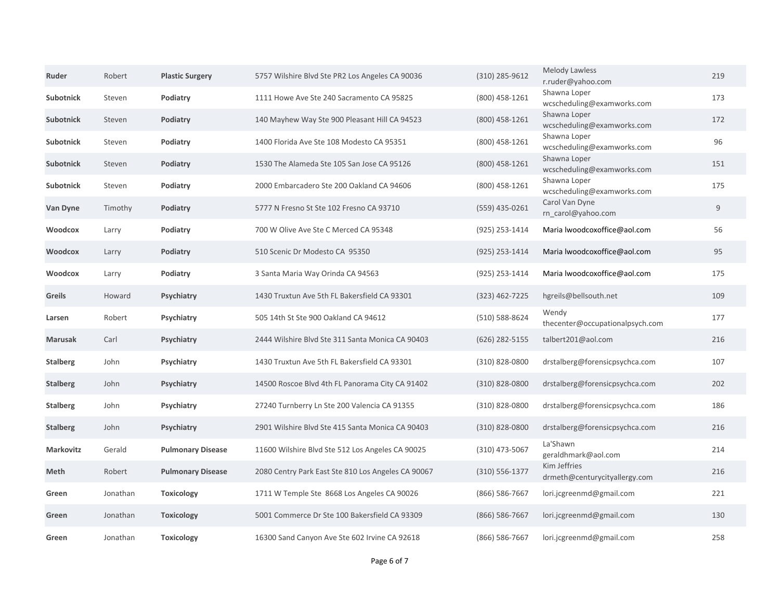| Ruder            | Robert   | <b>Plastic Surgery</b>   | 5757 Wilshire Blvd Ste PR2 Los Angeles CA 90036    | $(310)$ 285-9612   | <b>Melody Lawless</b><br>r.ruder@yahoo.com    | 219 |
|------------------|----------|--------------------------|----------------------------------------------------|--------------------|-----------------------------------------------|-----|
| Subotnick        | Steven   | Podiatry                 | 1111 Howe Ave Ste 240 Sacramento CA 95825          | $(800)$ 458-1261   | Shawna Loper<br>wcscheduling@examworks.com    | 173 |
| <b>Subotnick</b> | Steven   | Podiatry                 | 140 Mayhew Way Ste 900 Pleasant Hill CA 94523      | (800) 458-1261     | Shawna Loper<br>wcscheduling@examworks.com    | 172 |
| <b>Subotnick</b> | Steven   | Podiatry                 | 1400 Florida Ave Ste 108 Modesto CA 95351          | $(800)$ 458-1261   | Shawna Loper<br>wcscheduling@examworks.com    | 96  |
| <b>Subotnick</b> | Steven   | Podiatry                 | 1530 The Alameda Ste 105 San Jose CA 95126         | (800) 458-1261     | Shawna Loper<br>wcscheduling@examworks.com    | 151 |
| <b>Subotnick</b> | Steven   | Podiatry                 | 2000 Embarcadero Ste 200 Oakland CA 94606          | $(800)$ 458-1261   | Shawna Loper<br>wcscheduling@examworks.com    | 175 |
| <b>Van Dyne</b>  | Timothy  | Podiatry                 | 5777 N Fresno St Ste 102 Fresno CA 93710           | (559) 435-0261     | Carol Van Dyne<br>rn_carol@yahoo.com          | 9   |
| <b>Woodcox</b>   | Larry    | Podiatry                 | 700 W Olive Ave Ste C Merced CA 95348              | (925) 253-1414     | Maria lwoodcoxoffice@aol.com                  | 56  |
| <b>Woodcox</b>   | Larry    | Podiatry                 | 510 Scenic Dr Modesto CA 95350                     | $(925)$ 253-1414   | Maria lwoodcoxoffice@aol.com                  | 95  |
| <b>Woodcox</b>   | Larry    | Podiatry                 | 3 Santa Maria Way Orinda CA 94563                  | $(925)$ 253-1414   | Maria lwoodcoxoffice@aol.com                  | 175 |
| <b>Greils</b>    | Howard   | <b>Psychiatry</b>        | 1430 Truxtun Ave 5th FL Bakersfield CA 93301       | $(323)$ 462-7225   | hgreils@bellsouth.net                         | 109 |
| Larsen           | Robert   | <b>Psychiatry</b>        | 505 14th St Ste 900 Oakland CA 94612               | $(510) 588 - 8624$ | Wendy<br>thecenter@occupationalpsych.com      | 177 |
| <b>Marusak</b>   | Carl     | <b>Psychiatry</b>        | 2444 Wilshire Blvd Ste 311 Santa Monica CA 90403   | (626) 282-5155     | talbert201@aol.com                            | 216 |
| <b>Stalberg</b>  | John     | <b>Psychiatry</b>        | 1430 Truxtun Ave 5th FL Bakersfield CA 93301       | $(310)$ 828-0800   | drstalberg@forensicpsychca.com                | 107 |
| <b>Stalberg</b>  | John     | <b>Psychiatry</b>        | 14500 Roscoe Blvd 4th FL Panorama City CA 91402    | $(310)$ 828-0800   | drstalberg@forensicpsychca.com                | 202 |
| <b>Stalberg</b>  | John     | <b>Psychiatry</b>        | 27240 Turnberry Ln Ste 200 Valencia CA 91355       | $(310)$ 828-0800   | drstalberg@forensicpsychca.com                | 186 |
| <b>Stalberg</b>  | John     | <b>Psychiatry</b>        | 2901 Wilshire Blvd Ste 415 Santa Monica CA 90403   | $(310)$ 828-0800   | drstalberg@forensicpsychca.com                | 216 |
| <b>Markovitz</b> | Gerald   | <b>Pulmonary Disease</b> | 11600 Wilshire Blvd Ste 512 Los Angeles CA 90025   | $(310)$ 473-5067   | La'Shawn<br>geraldhmark@aol.com               | 214 |
| Meth             | Robert   | <b>Pulmonary Disease</b> | 2080 Centry Park East Ste 810 Los Angeles CA 90067 | $(310) 556 - 1377$ | Kim Jeffries<br>drmeth@centurycityallergy.com | 216 |
| Green            | Jonathan | <b>Toxicology</b>        | 1711 W Temple Ste 8668 Los Angeles CA 90026        | (866) 586-7667     | lori.jcgreenmd@gmail.com                      | 221 |
| Green            | Jonathan | <b>Toxicology</b>        | 5001 Commerce Dr Ste 100 Bakersfield CA 93309      | $(866) 586 - 7667$ | lori.jcgreenmd@gmail.com                      | 130 |
| Green            | Jonathan | <b>Toxicology</b>        | 16300 Sand Canyon Ave Ste 602 Irvine CA 92618      | (866) 586-7667     | lori.jcgreenmd@gmail.com                      | 258 |